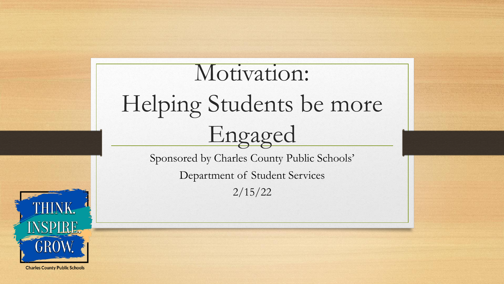# Motivation: Helping Students be more Engaged

Sponsored by Charles County Public Schools'

Department of Student Services

2/15/22



**Charles County Public Schools**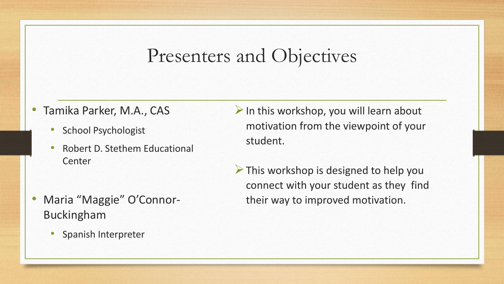#### Presenters and Objectives

- Tamika Parker, M.A., CAS
	- School Psychologist
	- Robert D. Stethem Educational Center
- Maria "Maggie" O'Connor-Buckingham
	- Spanish Interpreter
- $\triangleright$  In this workshop, you will learn about motivation from the viewpoint of your student.
- ➢This workshop is designed to help you connect with your student as they find their way to improved motivation.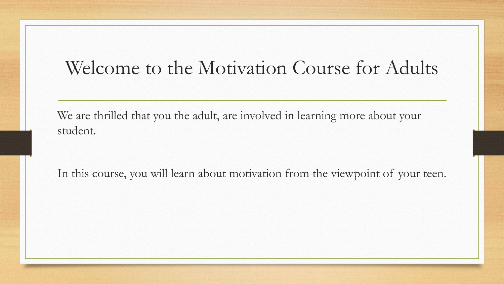#### Welcome to the Motivation Course for Adults

We are thrilled that you the adult, are involved in learning more about your student.

In this course, you will learn about motivation from the viewpoint of your teen.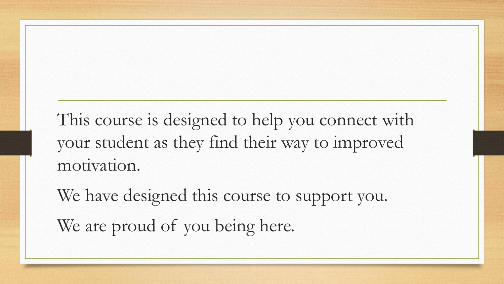This course is designed to help you connect with your student as they find their way to improved motivation.

We have designed this course to support you. We are proud of you being here.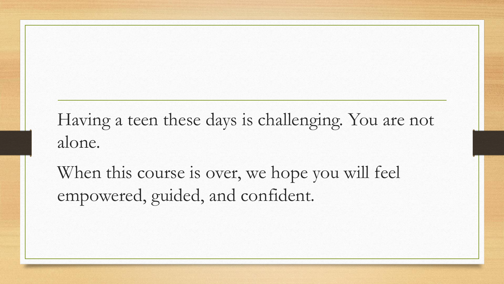#### Having a teen these days is challenging. You are not alone.

When this course is over, we hope you will feel empowered, guided, and confident.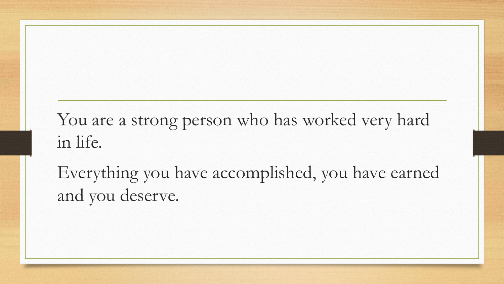#### You are a strong person who has worked very hard in life.

Everything you have accomplished, you have earned and you deserve.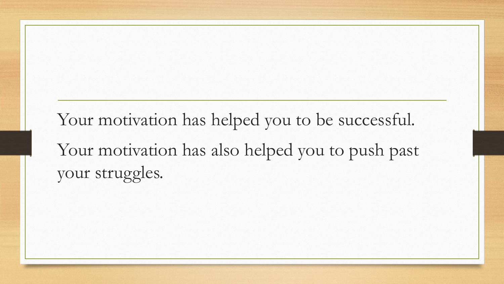Your motivation has helped you to be successful. Your motivation has also helped you to push past your struggles.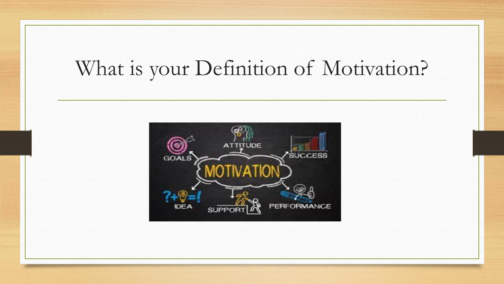## What is your Definition of Motivation?

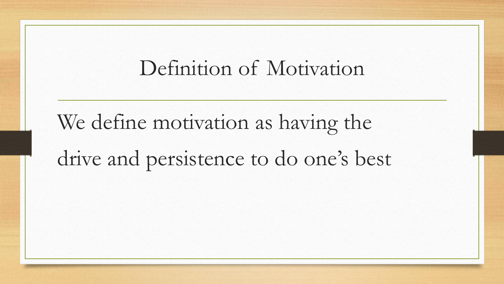#### Definition of Motivation

We define motivation as having the drive and persistence to do one's best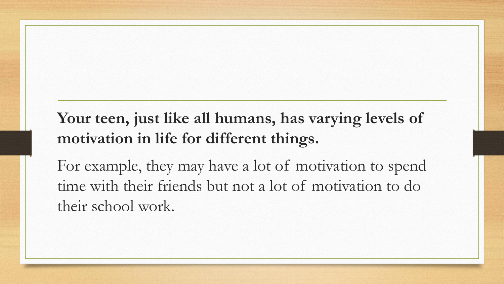#### **Your teen, just like all humans, has varying levels of motivation in life for different things.**

For example, they may have a lot of motivation to spend time with their friends but not a lot of motivation to do their school work.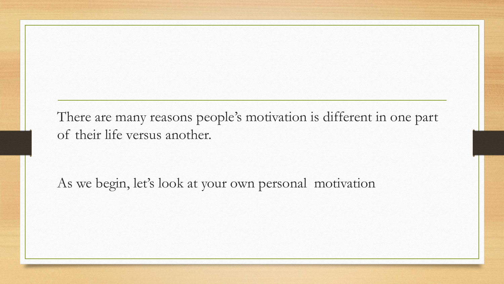There are many reasons people's motivation is different in one part of their life versus another.

As we begin, let's look at your own personal motivation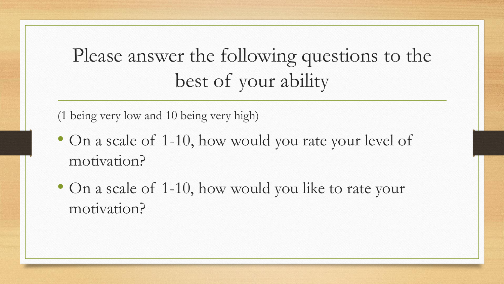Please answer the following questions to the best of your ability

(1 being very low and 10 being very high)

- On a scale of 1-10, how would you rate your level of motivation?
- On a scale of 1-10, how would you like to rate your motivation?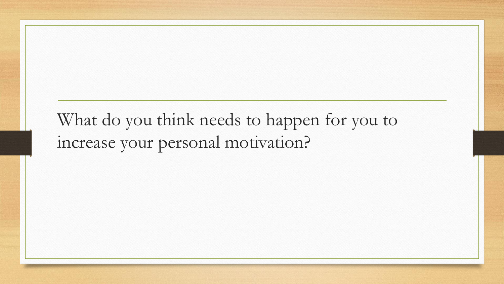#### What do you think needs to happen for you to increase your personal motivation?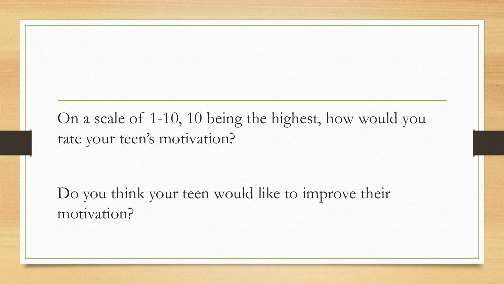On a scale of 1-10, 10 being the highest, how would you rate your teen's motivation?

Do you think your teen would like to improve their motivation?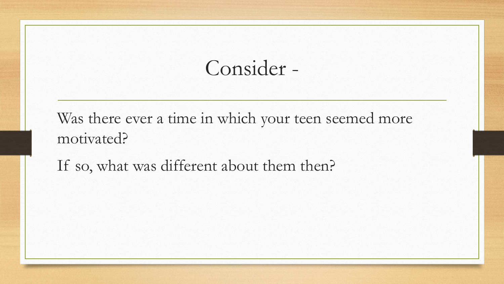Consider -

Was there ever a time in which your teen seemed more motivated?

If so, what was different about them then?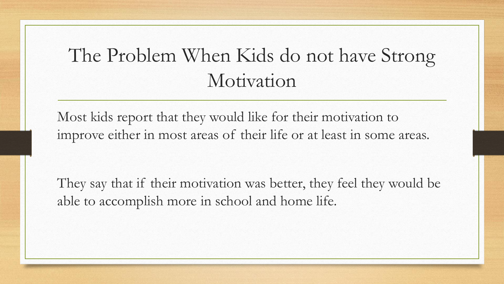#### The Problem When Kids do not have Strong Motivation

Most kids report that they would like for their motivation to improve either in most areas of their life or at least in some areas.

They say that if their motivation was better, they feel they would be able to accomplish more in school and home life.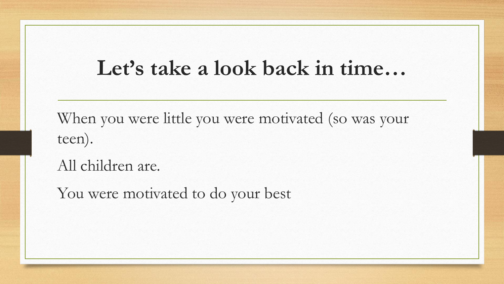#### **Let's take a look back in time…**

When you were little you were motivated (so was your teen).

All children are.

You were motivated to do your best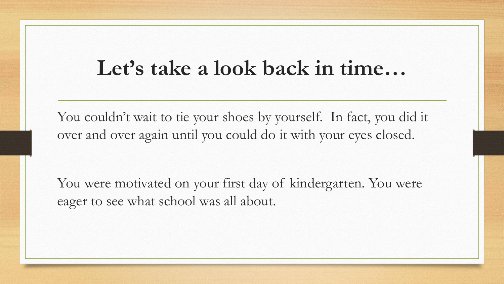#### **Let's take a look back in time…**

You couldn't wait to tie your shoes by yourself. In fact, you did it over and over again until you could do it with your eyes closed.

You were motivated on your first day of kindergarten. You were eager to see what school was all about.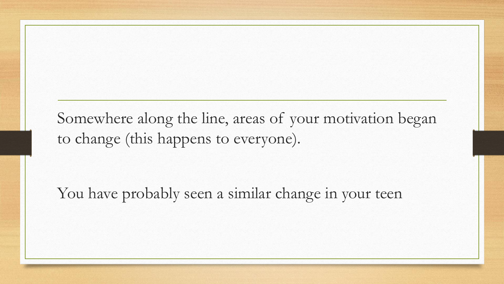Somewhere along the line, areas of your motivation began to change (this happens to everyone).

You have probably seen a similar change in your teen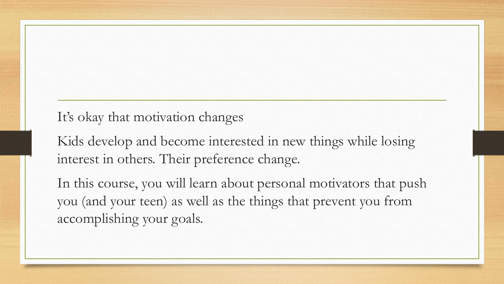It's okay that motivation changes

Kids develop and become interested in new things while losing interest in others. Their preference change.

In this course, you will learn about personal motivators that push you (and your teen) as well as the things that prevent you from accomplishing your goals.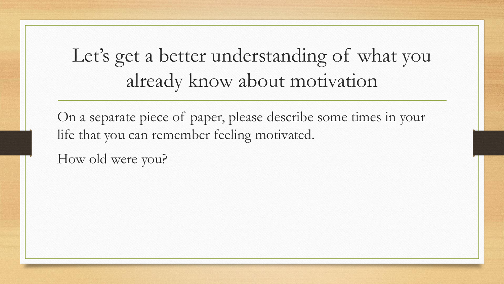### Let's get a better understanding of what you already know about motivation

On a separate piece of paper, please describe some times in your life that you can remember feeling motivated.

How old were you?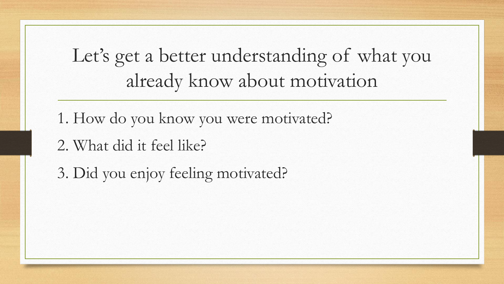Let's get a better understanding of what you already know about motivation

1. How do you know you were motivated?

- 2. What did it feel like?
- 3. Did you enjoy feeling motivated?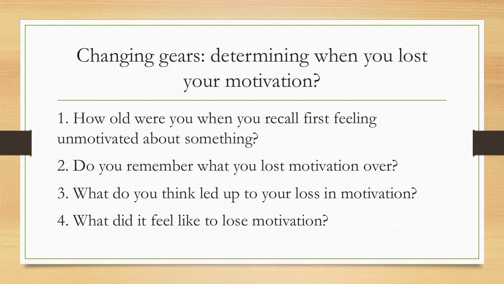Changing gears: determining when you lost your motivation?

- 1. How old were you when you recall first feeling unmotivated about something?
- 2. Do you remember what you lost motivation over?
- 3. What do you think led up to your loss in motivation?
- 4. What did it feel like to lose motivation?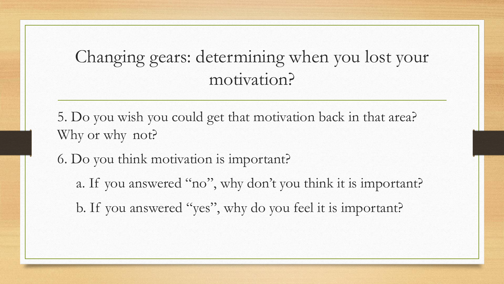#### Changing gears: determining when you lost your motivation?

5. Do you wish you could get that motivation back in that area? Why or why not?

6. Do you think motivation is important?

a. If you answered "no", why don't you think it is important?

b. If you answered "yes", why do you feel it is important?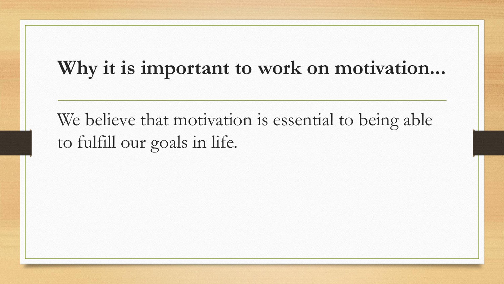#### **Why it is important to work on motivation...**

We believe that motivation is essential to being able to fulfill our goals in life.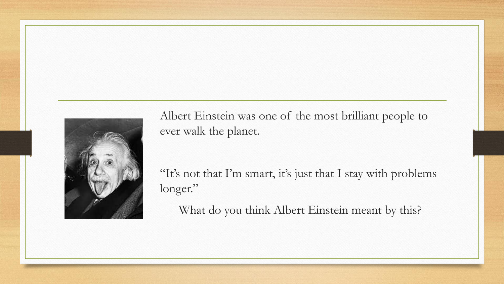

Albert Einstein was one of the most brilliant people to ever walk the planet.

"It's not that I'm smart, it's just that I stay with problems longer."

What do you think Albert Einstein meant by this?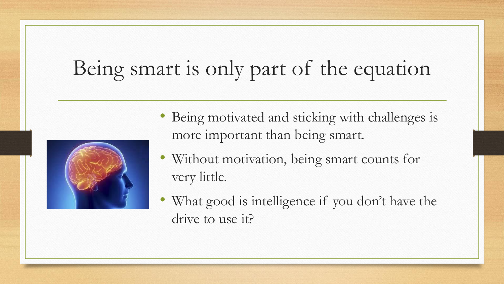## Being smart is only part of the equation



- Being motivated and sticking with challenges is more important than being smart.
- Without motivation, being smart counts for very little.
- What good is intelligence if you don't have the drive to use it?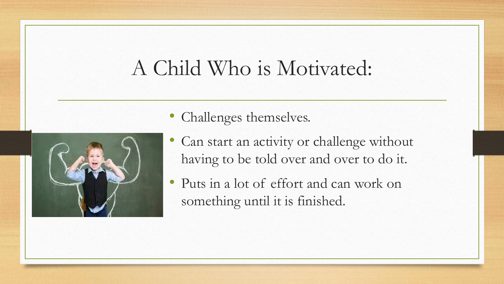### A Child Who is Motivated:



- Challenges themselves.
- Can start an activity or challenge without having to be told over and over to do it.
- Puts in a lot of effort and can work on something until it is finished.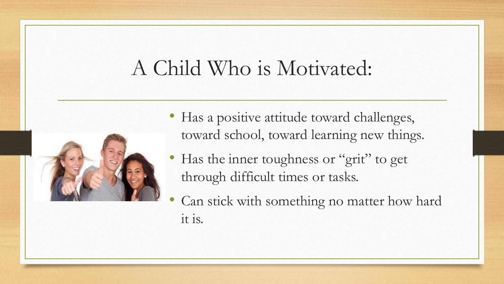### A Child Who is Motivated:



- Has a positive attitude toward challenges, toward school, toward learning new things.
- Has the inner toughness or "grit" to get through difficult times or tasks.
- Can stick with something no matter how hard it is.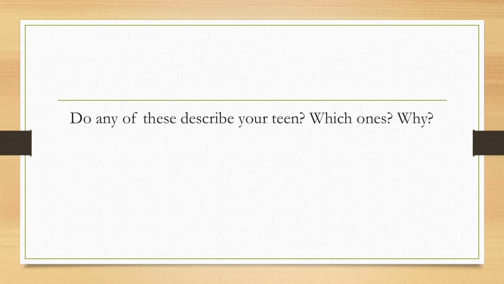#### Do any of these describe your teen? Which ones? Why?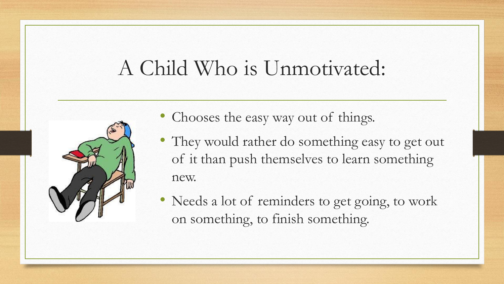## A Child Who is Unmotivated:



- Chooses the easy way out of things.
- They would rather do something easy to get out of it than push themselves to learn something new.
- Needs a lot of reminders to get going, to work on something, to finish something.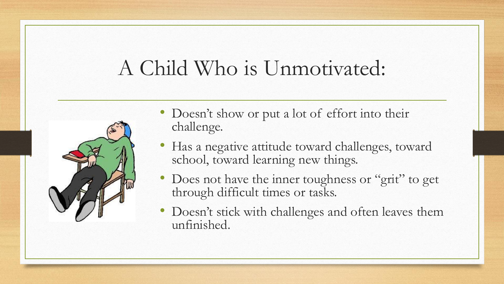## A Child Who is Unmotivated:



- Doesn't show or put a lot of effort into their challenge.
- Has a negative attitude toward challenges, toward school, toward learning new things.
- Does not have the inner toughness or "grit" to get through difficult times or tasks.
- Doesn't stick with challenges and often leaves them unfinished.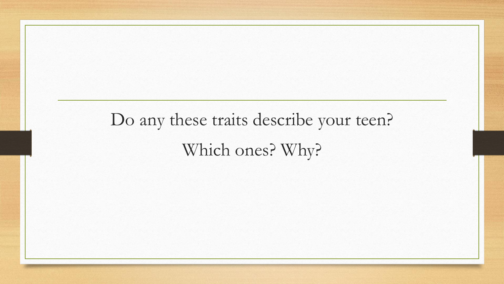Do any these traits describe your teen? Which ones? Why?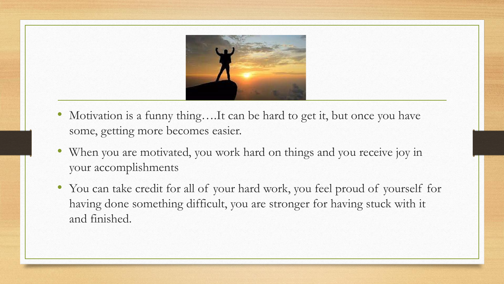

- Motivation is a funny thing....It can be hard to get it, but once you have some, getting more becomes easier.
- When you are motivated, you work hard on things and you receive joy in your accomplishments
- You can take credit for all of your hard work, you feel proud of yourself for having done something difficult, you are stronger for having stuck with it and finished.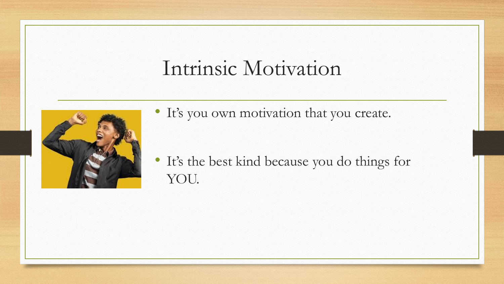### Intrinsic Motivation



• It's you own motivation that you create.

• It's the best kind because you do things for YOU.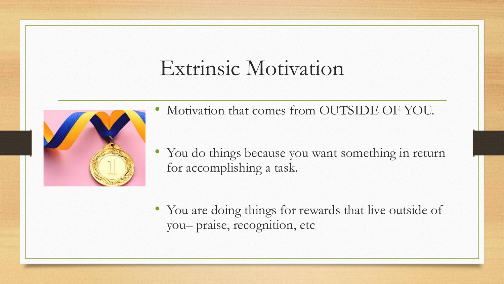### Extrinsic Motivation



- Motivation that comes from OUTSIDE OF YOU.
- You do things because you want something in return for accomplishing a task.
- You are doing things for rewards that live outside of you– praise, recognition, etc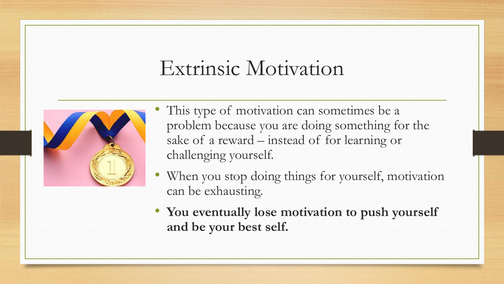### Extrinsic Motivation



- This type of motivation can sometimes be a problem because you are doing something for the sake of a reward – instead of for learning or challenging yourself.
- When you stop doing things for yourself, motivation can be exhausting.
- **You eventually lose motivation to push yourself and be your best self.**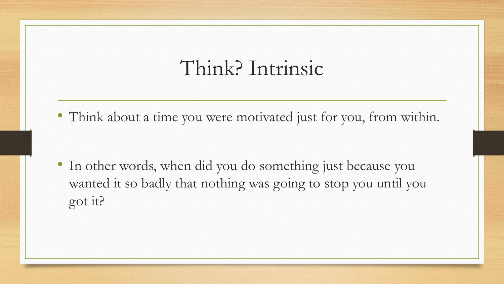#### Think? Intrinsic

• Think about a time you were motivated just for you, from within.

• In other words, when did you do something just because you wanted it so badly that nothing was going to stop you until you got it?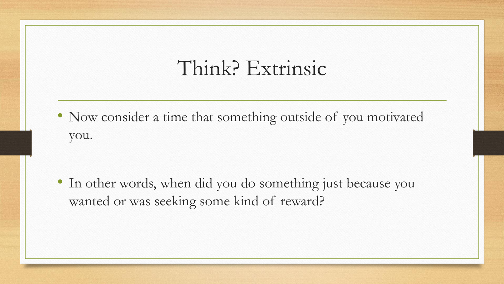#### Think? Extrinsic

• Now consider a time that something outside of you motivated you.

• In other words, when did you do something just because you wanted or was seeking some kind of reward?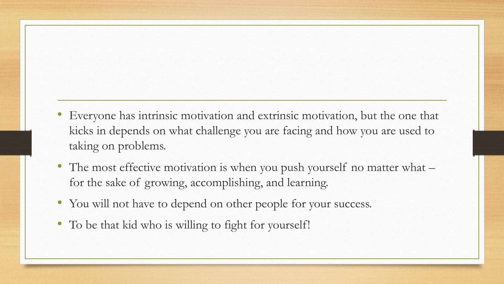- Everyone has intrinsic motivation and extrinsic motivation, but the one that kicks in depends on what challenge you are facing and how you are used to taking on problems.
- The most effective motivation is when you push yourself no matter what for the sake of growing, accomplishing, and learning.
- You will not have to depend on other people for your success.
- To be that kid who is willing to fight for yourself!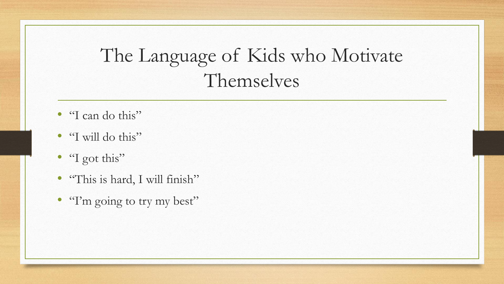### The Language of Kids who Motivate Themselves

- "I can do this"
- "I will do this"
- "I got this"
- "This is hard, I will finish"
- "I'm going to try my best"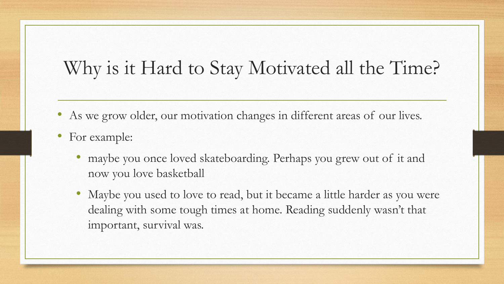- As we grow older, our motivation changes in different areas of our lives.
- For example:
	- maybe you once loved skateboarding. Perhaps you grew out of it and now you love basketball
	- Maybe you used to love to read, but it became a little harder as you were dealing with some tough times at home. Reading suddenly wasn't that important, survival was.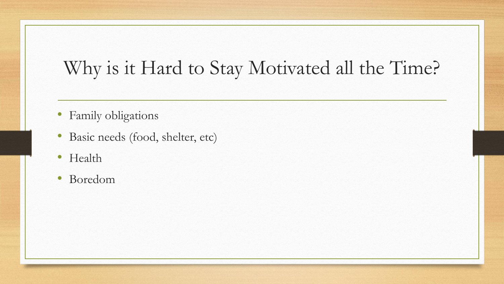- Family obligations
- Basic needs (food, shelter, etc)
- Health
- Boredom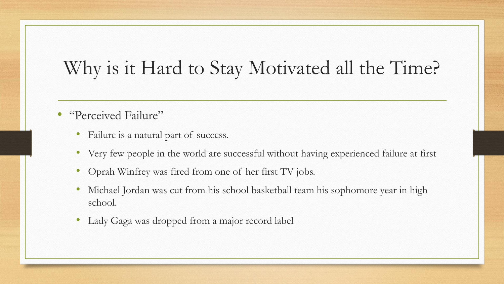- "Perceived Failure"
	- Failure is a natural part of success.
	- Very few people in the world are successful without having experienced failure at first
	- Oprah Winfrey was fired from one of her first TV jobs.
	- Michael Jordan was cut from his school basketball team his sophomore year in high school.
	- Lady Gaga was dropped from a major record label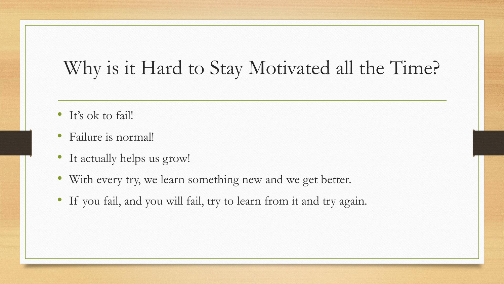- It's ok to fail!
- Failure is normal!
- It actually helps us grow!
- With every try, we learn something new and we get better.
- If you fail, and you will fail, try to learn from it and try again.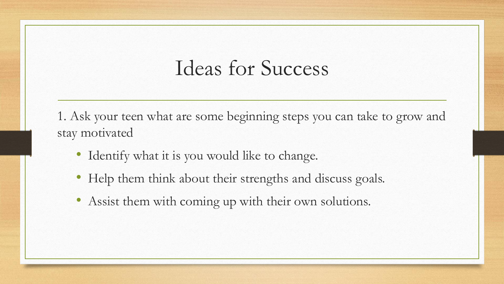1. Ask your teen what are some beginning steps you can take to grow and stay motivated

- Identify what it is you would like to change.
- Help them think about their strengths and discuss goals.
- Assist them with coming up with their own solutions.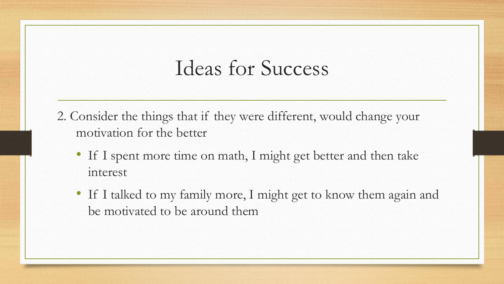- 2. Consider the things that if they were different, would change your motivation for the better
	- If I spent more time on math, I might get better and then take interest
	- If I talked to my family more, I might get to know them again and be motivated to be around them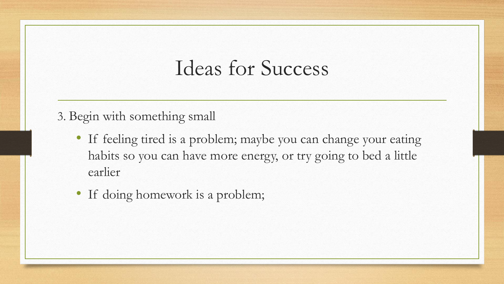#### 3. Begin with something small

- If feeling tired is a problem; maybe you can change your eating habits so you can have more energy, or try going to bed a little earlier
- If doing homework is a problem;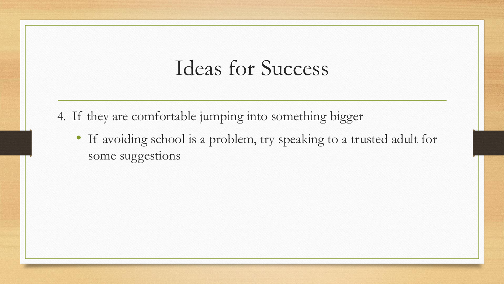- 4. If they are comfortable jumping into something bigger
	- If avoiding school is a problem, try speaking to a trusted adult for some suggestions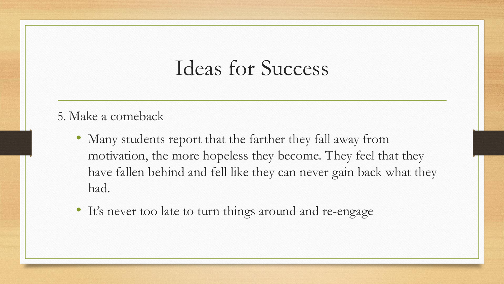#### 5. Make a comeback

- Many students report that the farther they fall away from motivation, the more hopeless they become. They feel that they have fallen behind and fell like they can never gain back what they had.
- It's never too late to turn things around and re-engage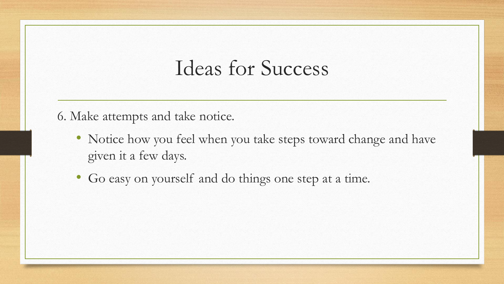6. Make attempts and take notice.

- Notice how you feel when you take steps toward change and have given it a few days.
- Go easy on yourself and do things one step at a time.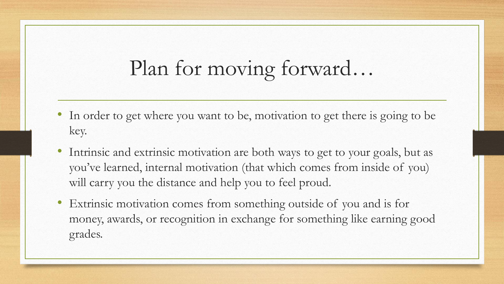- In order to get where you want to be, motivation to get there is going to be key.
- Intrinsic and extrinsic motivation are both ways to get to your goals, but as you've learned, internal motivation (that which comes from inside of you) will carry you the distance and help you to feel proud.
- Extrinsic motivation comes from something outside of you and is for money, awards, or recognition in exchange for something like earning good grades.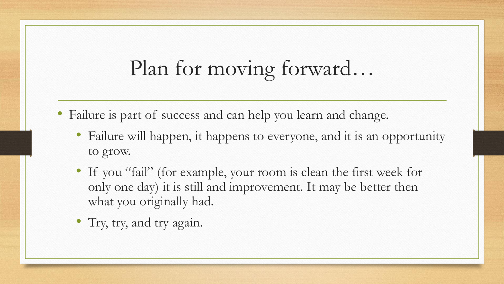- Failure is part of success and can help you learn and change.
	- Failure will happen, it happens to everyone, and it is an opportunity to grow.
	- If you "fail" (for example, your room is clean the first week for only one day) it is still and improvement. It may be better then what you originally had.
	- Try, try, and try again.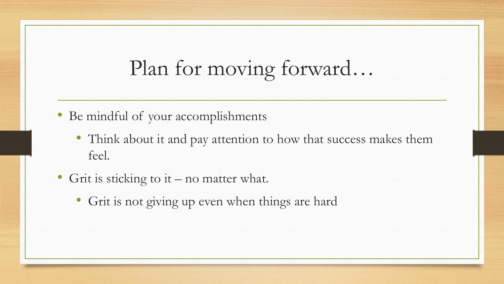- Be mindful of your accomplishments
	- Think about it and pay attention to how that success makes them feel.
- Grit is sticking to it no matter what.
	- Grit is not giving up even when things are hard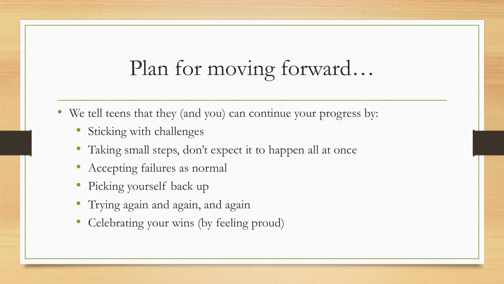- We tell teens that they (and you) can continue your progress by:
	- Sticking with challenges
	- Taking small steps, don't expect it to happen all at once
	- Accepting failures as normal
	- Picking yourself back up
	- Trying again and again, and again
	- Celebrating your wins (by feeling proud)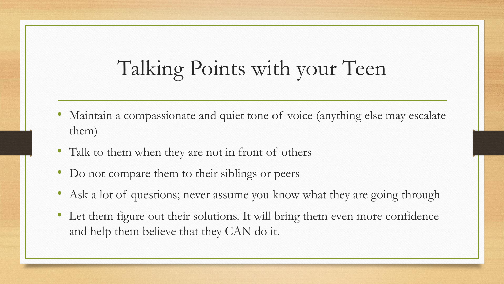### Talking Points with your Teen

- Maintain a compassionate and quiet tone of voice (anything else may escalate them)
- Talk to them when they are not in front of others
- Do not compare them to their siblings or peers
- Ask a lot of questions; never assume you know what they are going through
- Let them figure out their solutions. It will bring them even more confidence and help them believe that they CAN do it.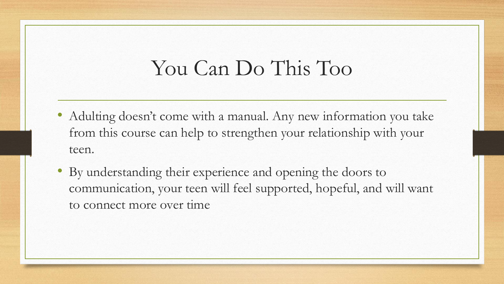### You Can Do This Too

- Adulting doesn't come with a manual. Any new information you take from this course can help to strengthen your relationship with your teen.
- By understanding their experience and opening the doors to communication, your teen will feel supported, hopeful, and will want to connect more over time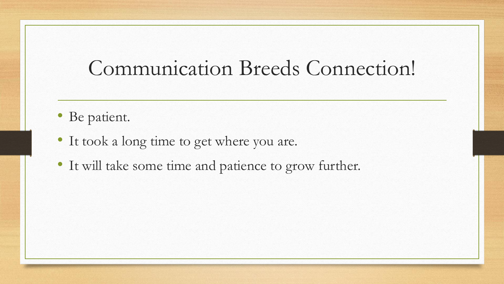### Communication Breeds Connection!

- Be patient.
- It took a long time to get where you are.
- It will take some time and patience to grow further.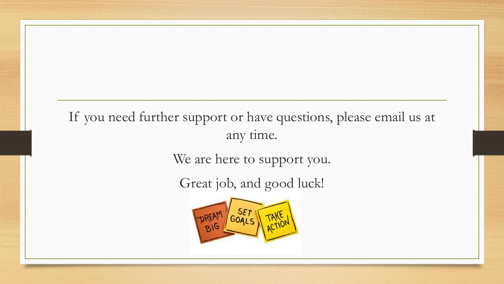#### If you need further support or have questions, please email us at any time.

We are here to support you.

Great job, and good luck!